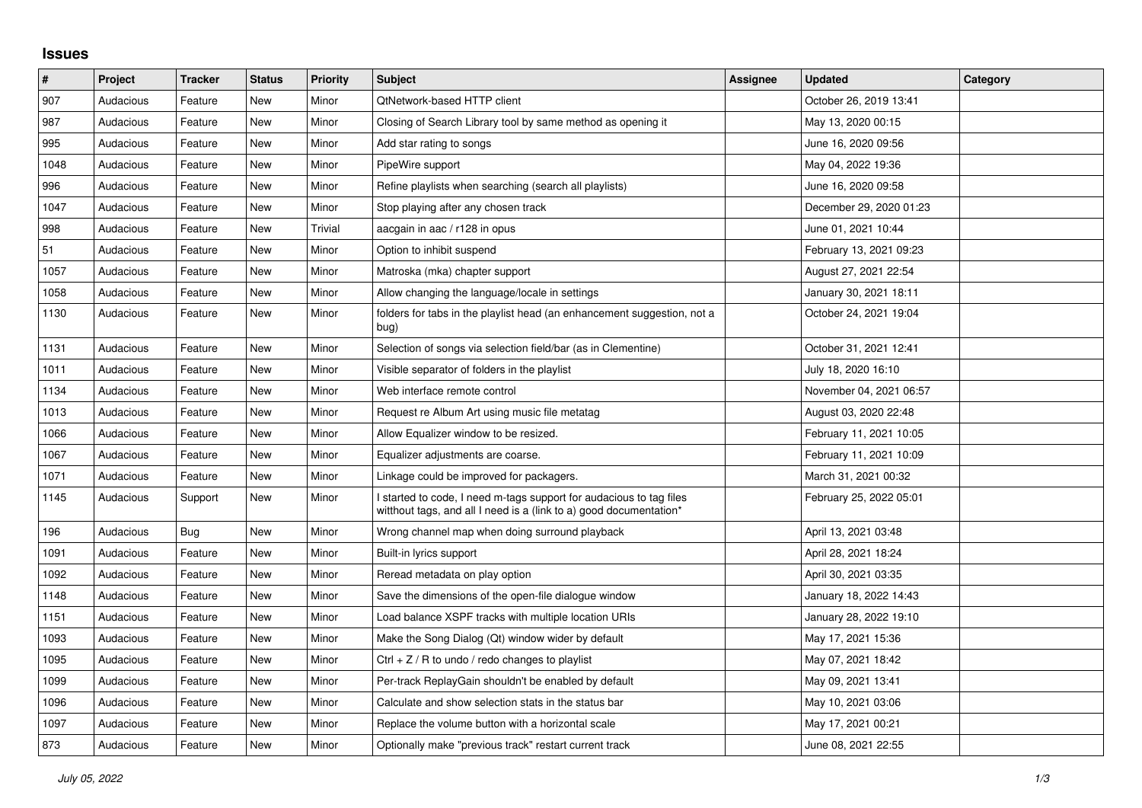## **Issues**

| $\sharp$ | Project   | <b>Tracker</b> | <b>Status</b> | <b>Priority</b> | <b>Subject</b>                                                                                                                            | Assignee | <b>Updated</b>          | Category |
|----------|-----------|----------------|---------------|-----------------|-------------------------------------------------------------------------------------------------------------------------------------------|----------|-------------------------|----------|
| 907      | Audacious | Feature        | <b>New</b>    | Minor           | QtNetwork-based HTTP client                                                                                                               |          | October 26, 2019 13:41  |          |
| 987      | Audacious | Feature        | <b>New</b>    | Minor           | Closing of Search Library tool by same method as opening it                                                                               |          | May 13, 2020 00:15      |          |
| 995      | Audacious | Feature        | <b>New</b>    | Minor           | Add star rating to songs                                                                                                                  |          | June 16, 2020 09:56     |          |
| 1048     | Audacious | Feature        | <b>New</b>    | Minor           | PipeWire support                                                                                                                          |          | May 04, 2022 19:36      |          |
| 996      | Audacious | Feature        | <b>New</b>    | Minor           | Refine playlists when searching (search all playlists)                                                                                    |          | June 16, 2020 09:58     |          |
| 1047     | Audacious | Feature        | <b>New</b>    | Minor           | Stop playing after any chosen track                                                                                                       |          | December 29, 2020 01:23 |          |
| 998      | Audacious | Feature        | New           | Trivial         | aacgain in aac / r128 in opus                                                                                                             |          | June 01, 2021 10:44     |          |
| 51       | Audacious | Feature        | <b>New</b>    | Minor           | Option to inhibit suspend                                                                                                                 |          | February 13, 2021 09:23 |          |
| 1057     | Audacious | Feature        | New           | Minor           | Matroska (mka) chapter support                                                                                                            |          | August 27, 2021 22:54   |          |
| 1058     | Audacious | Feature        | <b>New</b>    | Minor           | Allow changing the language/locale in settings                                                                                            |          | January 30, 2021 18:11  |          |
| 1130     | Audacious | Feature        | <b>New</b>    | Minor           | folders for tabs in the playlist head (an enhancement suggestion, not a<br>bug)                                                           |          | October 24, 2021 19:04  |          |
| 1131     | Audacious | Feature        | <b>New</b>    | Minor           | Selection of songs via selection field/bar (as in Clementine)                                                                             |          | October 31, 2021 12:41  |          |
| 1011     | Audacious | Feature        | <b>New</b>    | Minor           | Visible separator of folders in the playlist                                                                                              |          | July 18, 2020 16:10     |          |
| 1134     | Audacious | Feature        | New           | Minor           | Web interface remote control                                                                                                              |          | November 04, 2021 06:57 |          |
| 1013     | Audacious | Feature        | <b>New</b>    | Minor           | Request re Album Art using music file metatag                                                                                             |          | August 03, 2020 22:48   |          |
| 1066     | Audacious | Feature        | <b>New</b>    | Minor           | Allow Equalizer window to be resized.                                                                                                     |          | February 11, 2021 10:05 |          |
| 1067     | Audacious | Feature        | <b>New</b>    | Minor           | Equalizer adjustments are coarse.                                                                                                         |          | February 11, 2021 10:09 |          |
| 1071     | Audacious | Feature        | <b>New</b>    | Minor           | Linkage could be improved for packagers.                                                                                                  |          | March 31, 2021 00:32    |          |
| 1145     | Audacious | Support        | <b>New</b>    | Minor           | I started to code, I need m-tags support for audacious to tag files<br>witthout tags, and all I need is a (link to a) good documentation* |          | February 25, 2022 05:01 |          |
| 196      | Audacious | Bug            | New           | Minor           | Wrong channel map when doing surround playback                                                                                            |          | April 13, 2021 03:48    |          |
| 1091     | Audacious | Feature        | <b>New</b>    | Minor           | Built-in lyrics support                                                                                                                   |          | April 28, 2021 18:24    |          |
| 1092     | Audacious | Feature        | <b>New</b>    | Minor           | Reread metadata on play option                                                                                                            |          | April 30, 2021 03:35    |          |
| 1148     | Audacious | Feature        | New           | Minor           | Save the dimensions of the open-file dialogue window                                                                                      |          | January 18, 2022 14:43  |          |
| 1151     | Audacious | Feature        | New           | Minor           | Load balance XSPF tracks with multiple location URIs                                                                                      |          | January 28, 2022 19:10  |          |
| 1093     | Audacious | Feature        | <b>New</b>    | Minor           | Make the Song Dialog (Qt) window wider by default                                                                                         |          | May 17, 2021 15:36      |          |
| 1095     | Audacious | Feature        | <b>New</b>    | Minor           | Ctrl $+$ Z / R to undo / redo changes to playlist                                                                                         |          | May 07, 2021 18:42      |          |
| 1099     | Audacious | Feature        | <b>New</b>    | Minor           | Per-track ReplayGain shouldn't be enabled by default                                                                                      |          | May 09, 2021 13:41      |          |
| 1096     | Audacious | Feature        | New           | Minor           | Calculate and show selection stats in the status bar                                                                                      |          | May 10, 2021 03:06      |          |
| 1097     | Audacious | Feature        | <b>New</b>    | Minor           | Replace the volume button with a horizontal scale                                                                                         |          | May 17, 2021 00:21      |          |
| 873      | Audacious | Feature        | <b>New</b>    | Minor           | Optionally make "previous track" restart current track                                                                                    |          | June 08, 2021 22:55     |          |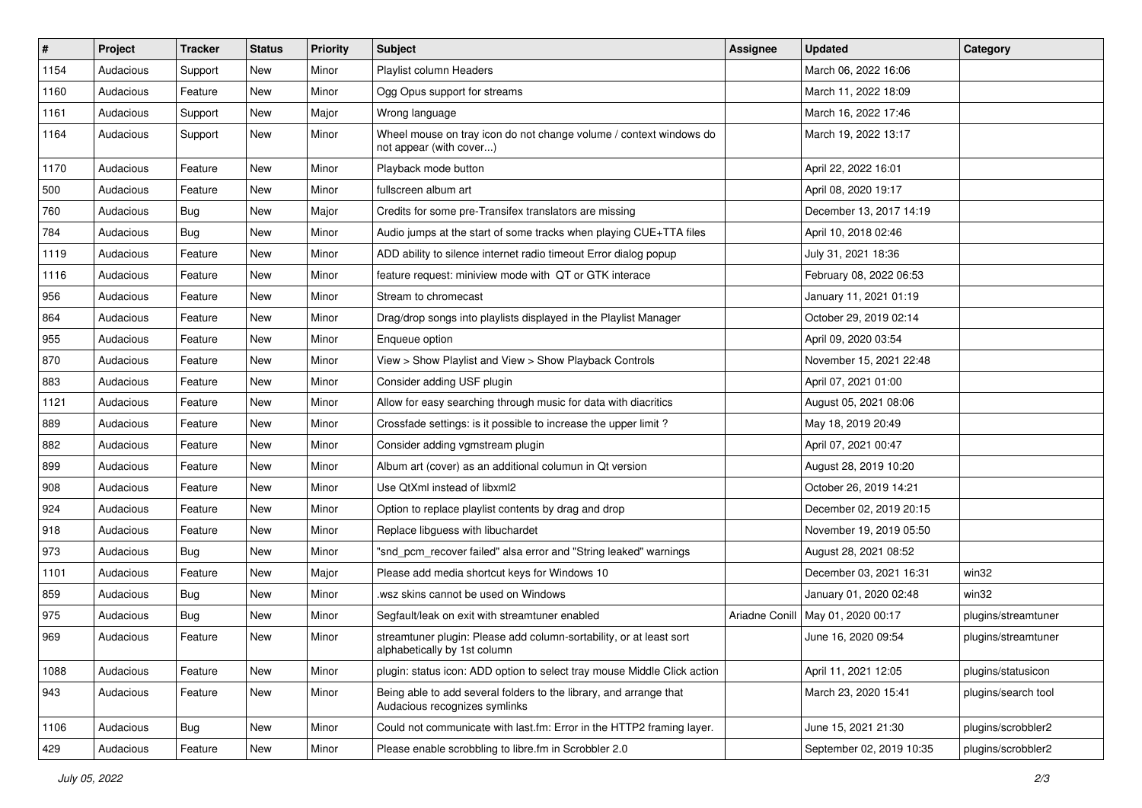| #    | Project   | <b>Tracker</b> | <b>Status</b> | <b>Priority</b> | <b>Subject</b>                                                                                      | <b>Assignee</b> | <b>Updated</b>                      | Category            |
|------|-----------|----------------|---------------|-----------------|-----------------------------------------------------------------------------------------------------|-----------------|-------------------------------------|---------------------|
| 1154 | Audacious | Support        | New           | Minor           | Playlist column Headers                                                                             |                 | March 06, 2022 16:06                |                     |
| 1160 | Audacious | Feature        | New           | Minor           | Ogg Opus support for streams                                                                        |                 | March 11, 2022 18:09                |                     |
| 1161 | Audacious | Support        | New           | Major           | Wrong language                                                                                      |                 | March 16, 2022 17:46                |                     |
| 1164 | Audacious | Support        | New           | Minor           | Wheel mouse on tray icon do not change volume / context windows do<br>not appear (with cover)       |                 | March 19, 2022 13:17                |                     |
| 1170 | Audacious | Feature        | New           | Minor           | Playback mode button                                                                                |                 | April 22, 2022 16:01                |                     |
| 500  | Audacious | Feature        | New           | Minor           | fullscreen album art                                                                                |                 | April 08, 2020 19:17                |                     |
| 760  | Audacious | Bug            | New           | Major           | Credits for some pre-Transifex translators are missing                                              |                 | December 13, 2017 14:19             |                     |
| 784  | Audacious | <b>Bug</b>     | New           | Minor           | Audio jumps at the start of some tracks when playing CUE+TTA files                                  |                 | April 10, 2018 02:46                |                     |
| 1119 | Audacious | Feature        | New           | Minor           | ADD ability to silence internet radio timeout Error dialog popup                                    |                 | July 31, 2021 18:36                 |                     |
| 1116 | Audacious | Feature        | New           | Minor           | feature request: miniview mode with QT or GTK interace                                              |                 | February 08, 2022 06:53             |                     |
| 956  | Audacious | Feature        | New           | Minor           | Stream to chromecast                                                                                |                 | January 11, 2021 01:19              |                     |
| 864  | Audacious | Feature        | New           | Minor           | Drag/drop songs into playlists displayed in the Playlist Manager                                    |                 | October 29, 2019 02:14              |                     |
| 955  | Audacious | Feature        | New           | Minor           | Enqueue option                                                                                      |                 | April 09, 2020 03:54                |                     |
| 870  | Audacious | Feature        | New           | Minor           | View > Show Playlist and View > Show Playback Controls                                              |                 | November 15, 2021 22:48             |                     |
| 883  | Audacious | Feature        | New           | Minor           | Consider adding USF plugin                                                                          |                 | April 07, 2021 01:00                |                     |
| 1121 | Audacious | Feature        | New           | Minor           | Allow for easy searching through music for data with diacritics                                     |                 | August 05, 2021 08:06               |                     |
| 889  | Audacious | Feature        | New           | Minor           | Crossfade settings: is it possible to increase the upper limit?                                     |                 | May 18, 2019 20:49                  |                     |
| 882  | Audacious | Feature        | New           | Minor           | Consider adding vgmstream plugin                                                                    |                 | April 07, 2021 00:47                |                     |
| 899  | Audacious | Feature        | New           | Minor           | Album art (cover) as an additional columun in Qt version                                            |                 | August 28, 2019 10:20               |                     |
| 908  | Audacious | Feature        | New           | Minor           | Use QtXml instead of libxml2                                                                        |                 | October 26, 2019 14:21              |                     |
| 924  | Audacious | Feature        | New           | Minor           | Option to replace playlist contents by drag and drop                                                |                 | December 02, 2019 20:15             |                     |
| 918  | Audacious | Feature        | New           | Minor           | Replace libguess with libuchardet                                                                   |                 | November 19, 2019 05:50             |                     |
| 973  | Audacious | Bug            | New           | Minor           | "snd_pcm_recover failed" alsa error and "String leaked" warnings                                    |                 | August 28, 2021 08:52               |                     |
| 1101 | Audacious | Feature        | New           | Major           | Please add media shortcut keys for Windows 10                                                       |                 | December 03, 2021 16:31             | win32               |
| 859  | Audacious | Bug            | New           | Minor           | wsz skins cannot be used on Windows                                                                 |                 | January 01, 2020 02:48              | win32               |
| 975  | Audacious | <b>Bug</b>     | New           | Minor           | Segfault/leak on exit with streamtuner enabled                                                      |                 | Ariadne Conill   May 01, 2020 00:17 | plugins/streamtuner |
| 969  | Audacious | Feature        | New           | Minor           | streamtuner plugin: Please add column-sortability, or at least sort<br>alphabetically by 1st column |                 | June 16, 2020 09:54                 | plugins/streamtuner |
| 1088 | Audacious | Feature        | New           | Minor           | plugin: status icon: ADD option to select tray mouse Middle Click action                            |                 | April 11, 2021 12:05                | plugins/statusicon  |
| 943  | Audacious | Feature        | New           | Minor           | Being able to add several folders to the library, and arrange that<br>Audacious recognizes symlinks |                 | March 23, 2020 15:41                | plugins/search tool |
| 1106 | Audacious | <b>Bug</b>     | New           | Minor           | Could not communicate with last.fm: Error in the HTTP2 framing layer.                               |                 | June 15, 2021 21:30                 | plugins/scrobbler2  |
| 429  | Audacious | Feature        | New           | Minor           | Please enable scrobbling to libre.fm in Scrobbler 2.0                                               |                 | September 02, 2019 10:35            | plugins/scrobbler2  |